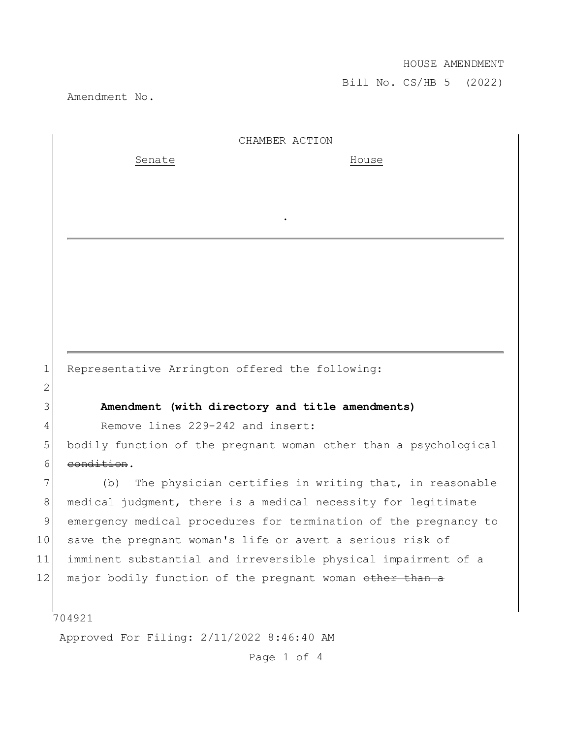Bill No. CS/HB 5 (2022)

Amendment No.

| CHAMBER ACTION |  |
|----------------|--|
|                |  |

.

Senate House

1 Representative Arrington offered the following:

## 3 **Amendment (with directory and title amendments)**

4 Remove lines 229-242 and insert:

5 bodily function of the pregnant woman other than a psychological 6 condition.

7 (b) The physician certifies in writing that, in reasonable 8 medical judgment, there is a medical necessity for legitimate 9 emergency medical procedures for termination of the pregnancy to 10 save the pregnant woman's life or avert a serious risk of 11 imminent substantial and irreversible physical impairment of a 12 major bodily function of the pregnant woman other than a

## 704921

2

Approved For Filing: 2/11/2022 8:46:40 AM

Page 1 of 4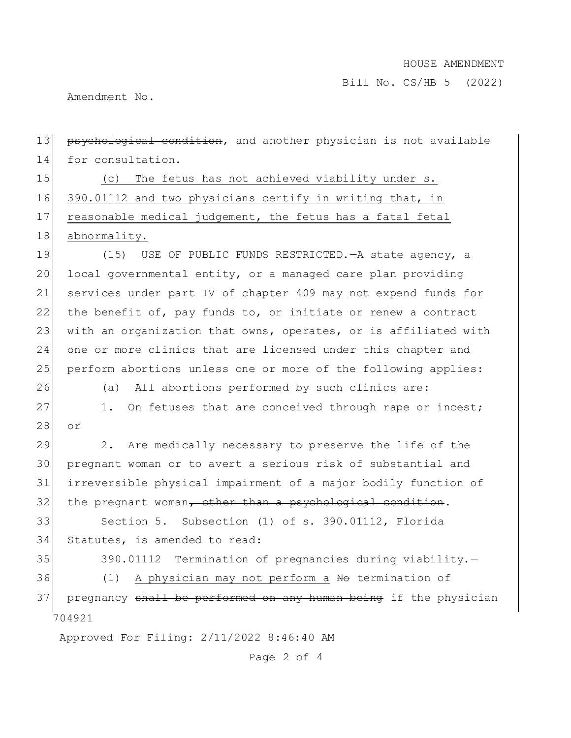Bill No. CS/HB 5 (2022)

Amendment No.

| 13 | psychological condition, and another physician is not available  |
|----|------------------------------------------------------------------|
| 14 | for consultation.                                                |
| 15 | The fetus has not achieved viability under s.<br>(C)             |
| 16 | 390.01112 and two physicians certify in writing that, in         |
| 17 | reasonable medical judgement, the fetus has a fatal fetal        |
| 18 | abnormality.                                                     |
| 19 | (15)<br>USE OF PUBLIC FUNDS RESTRICTED. - A state agency, a      |
| 20 | local governmental entity, or a managed care plan providing      |
| 21 | services under part IV of chapter 409 may not expend funds for   |
| 22 | the benefit of, pay funds to, or initiate or renew a contract    |
| 23 | with an organization that owns, operates, or is affiliated with  |
| 24 | one or more clinics that are licensed under this chapter and     |
| 25 | perform abortions unless one or more of the following applies:   |
| 26 | (a) All abortions performed by such clinics are:                 |
| 27 | On fetuses that are conceived through rape or incest;<br>1.      |
| 28 | or                                                               |
| 29 | Are medically necessary to preserve the life of the<br>2.        |
| 30 | pregnant woman or to avert a serious risk of substantial and     |
| 31 | irreversible physical impairment of a major bodily function of   |
| 32 | the pregnant woman, other than a psychological condition.        |
| 33 | Section 5. Subsection (1) of s. 390.01112, Florida               |
| 34 | Statutes, is amended to read:                                    |
| 35 | Termination of pregnancies during viability.-<br>390.01112       |
| 36 | A physician may not perform a No termination of<br>(1)           |
| 37 | pregnancy shall be performed on any human being if the physician |
|    | 704921                                                           |
|    | Approved For Filing: 2/11/2022 8:46:40 AM                        |

Page 2 of 4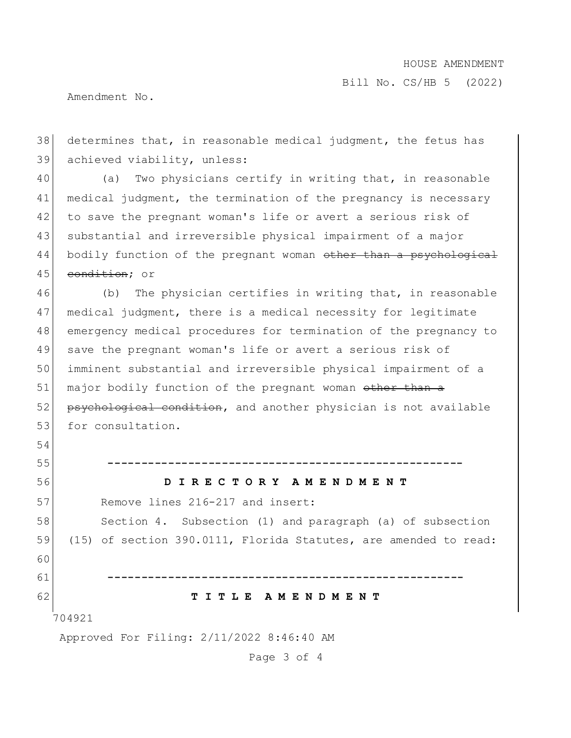Bill No. CS/HB 5 (2022)

Amendment No.

54

38 determines that, in reasonable medical judgment, the fetus has 39 achieved viability, unless: 40 (a) Two physicians certify in writing that, in reasonable

41 medical judgment, the termination of the pregnancy is necessary 42 to save the pregnant woman's life or avert a serious risk of 43 substantial and irreversible physical impairment of a major 44 bodily function of the pregnant woman other than a psychological 45 condition: or

 (b) The physician certifies in writing that, in reasonable medical judgment, there is a medical necessity for legitimate emergency medical procedures for termination of the pregnancy to save the pregnant woman's life or avert a serious risk of imminent substantial and irreversible physical impairment of a 51| major bodily function of the pregnant woman <del>other than a</del> 52 psychological condition, and another physician is not available 53 for consultation.

704921 55 **-----------------------------------------------------** 56 **D I R E C T O R Y A M E N D M E N T** 57 Remove lines 216-217 and insert: 58 Section 4. Subsection (1) and paragraph (a) of subsection 59 (15) of section 390.0111, Florida Statutes, are amended to read: 60 61 **-----------------------------------------------------** 62 **T I T L E A M E N D M E N T**

Approved For Filing: 2/11/2022 8:46:40 AM

Page 3 of 4